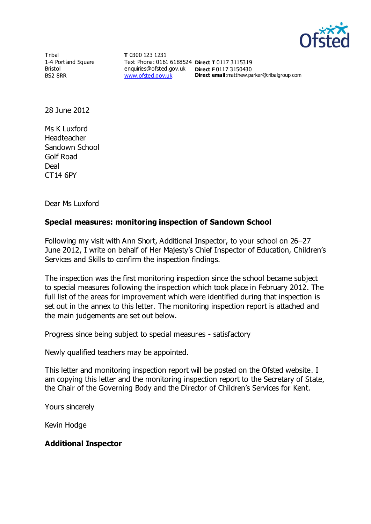

Tribal 1-4 Portland Square Bristol BS2 8RR

**T** 0300 123 1231 Text Phone: 0161 6188524 **Direct T** 0117 3115319 enquiries@ofsted.gov.uk **Direct F** 0117 3150430 [www.ofsted.gov.uk](http://www.ofsted.gov.uk/)

**Direct email**:matthew.parker@tribalgroup.com

28 June 2012

Ms K Luxford Headteacher Sandown School Golf Road **Deal** CT14 6PY

Dear Ms Luxford

#### **Special measures: monitoring inspection of Sandown School**

Following my visit with Ann Short, Additional Inspector, to your school on 26–27 June 2012, I write on behalf of Her Majesty's Chief Inspector of Education, Children's Services and Skills to confirm the inspection findings.

The inspection was the first monitoring inspection since the school became subject to special measures following the inspection which took place in February 2012. The full list of the areas for improvement which were identified during that inspection is set out in the annex to this letter. The monitoring inspection report is attached and the main judgements are set out below.

Progress since being subject to special measures - satisfactory

Newly qualified teachers may be appointed.

This letter and monitoring inspection report will be posted on the Ofsted website. I am copying this letter and the monitoring inspection report to the Secretary of State, the Chair of the Governing Body and the Director of Children's Services for Kent.

Yours sincerely

Kevin Hodge

#### **Additional Inspector**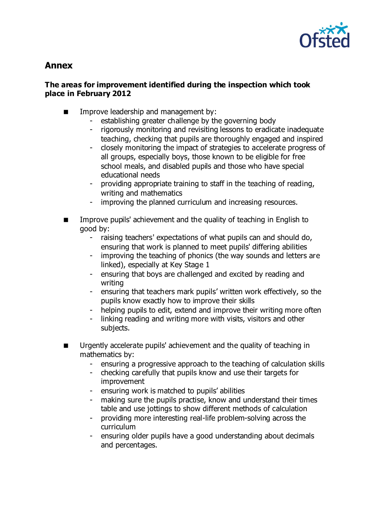

# **Annex**

#### **The areas for improvement identified during the inspection which took place in February 2012**

- **IMPROPE Improve leadership and management by:** 
	- establishing greater challenge by the governing body
	- rigorously monitoring and revisiting lessons to eradicate inadequate teaching, checking that pupils are thoroughly engaged and inspired
	- closely monitoring the impact of strategies to accelerate progress of all groups, especially boys, those known to be eligible for free school meals, and disabled pupils and those who have special educational needs
	- providing appropriate training to staff in the teaching of reading, writing and mathematics
	- improving the planned curriculum and increasing resources.
- Improve pupils' achievement and the quality of teaching in English to good by:
	- raising teachers' expectations of what pupils can and should do, ensuring that work is planned to meet pupils' differing abilities
	- improving the teaching of phonics (the way sounds and letters are linked), especially at Key Stage 1
	- ensuring that boys are challenged and excited by reading and writing
	- ensuring that teachers mark pupils' written work effectively, so the pupils know exactly how to improve their skills
	- helping pupils to edit, extend and improve their writing more often
	- linking reading and writing more with visits, visitors and other subjects.
- Urgently accelerate pupils' achievement and the quality of teaching in mathematics by:
	- ensuring a progressive approach to the teaching of calculation skills
	- checking carefully that pupils know and use their targets for improvement
	- ensuring work is matched to pupils' abilities
	- making sure the pupils practise, know and understand their times table and use jottings to show different methods of calculation
	- providing more interesting real-life problem-solving across the curriculum
	- ensuring older pupils have a good understanding about decimals and percentages.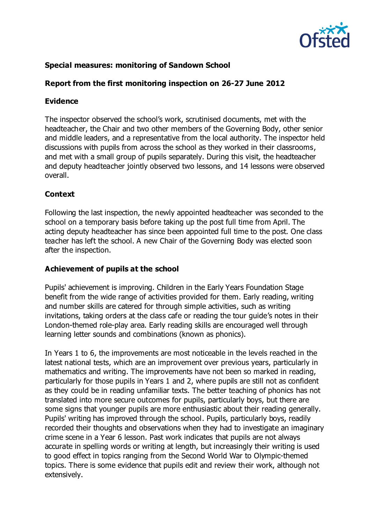

# **Special measures: monitoring of Sandown School**

# **Report from the first monitoring inspection on 26-27 June 2012**

#### **Evidence**

The inspector observed the school's work, scrutinised documents, met with the headteacher, the Chair and two other members of the Governing Body, other senior and middle leaders, and a representative from the local authority. The inspector held discussions with pupils from across the school as they worked in their classrooms, and met with a small group of pupils separately. During this visit, the headteacher and deputy headteacher jointly observed two lessons, and 14 lessons were observed overall.

#### **Context**

Following the last inspection, the newly appointed headteacher was seconded to the school on a temporary basis before taking up the post full time from April. The acting deputy headteacher has since been appointed full time to the post. One class teacher has left the school. A new Chair of the Governing Body was elected soon after the inspection.

#### **Achievement of pupils at the school**

Pupils' achievement is improving. Children in the Early Years Foundation Stage benefit from the wide range of activities provided for them. Early reading, writing and number skills are catered for through simple activities, such as writing invitations, taking orders at the class cafe or reading the tour guide's notes in their London-themed role-play area. Early reading skills are encouraged well through learning letter sounds and combinations (known as phonics).

In Years 1 to 6, the improvements are most noticeable in the levels reached in the latest national tests, which are an improvement over previous years, particularly in mathematics and writing. The improvements have not been so marked in reading, particularly for those pupils in Years 1 and 2, where pupils are still not as confident as they could be in reading unfamiliar texts. The better teaching of phonics has not translated into more secure outcomes for pupils, particularly boys, but there are some signs that younger pupils are more enthusiastic about their reading generally. Pupils' writing has improved through the school. Pupils, particularly boys, readily recorded their thoughts and observations when they had to investigate an imaginary crime scene in a Year 6 lesson. Past work indicates that pupils are not always accurate in spelling words or writing at length, but increasingly their writing is used to good effect in topics ranging from the Second World War to Olympic-themed topics. There is some evidence that pupils edit and review their work, although not extensively.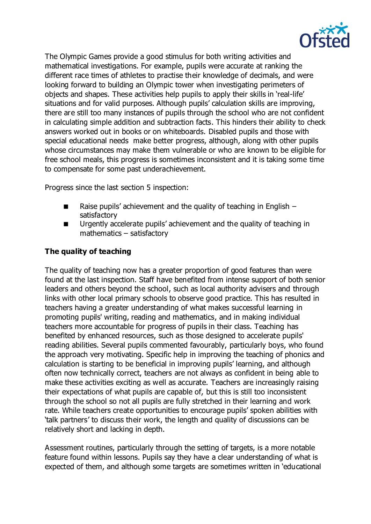

The Olympic Games provide a good stimulus for both writing activities and mathematical investigations. For example, pupils were accurate at ranking the different race times of athletes to practise their knowledge of decimals, and were looking forward to building an Olympic tower when investigating perimeters of objects and shapes. These activities help pupils to apply their skills in 'real-life' situations and for valid purposes. Although pupils' calculation skills are improving, there are still too many instances of pupils through the school who are not confident in calculating simple addition and subtraction facts. This hinders their ability to check answers worked out in books or on whiteboards. Disabled pupils and those with special educational needs make better progress, although, along with other pupils whose circumstances may make them vulnerable or who are known to be eligible for free school meals, this progress is sometimes inconsistent and it is taking some time to compensate for some past underachievement.

Progress since the last section 5 inspection:

- **Raise pupils' achievement and the quality of teaching in English** satisfactory
- Urgently accelerate pupils' achievement and the quality of teaching in mathematics – satisfactory

# **The quality of teaching**

The quality of teaching now has a greater proportion of good features than were found at the last inspection. Staff have benefited from intense support of both senior leaders and others beyond the school, such as local authority advisers and through links with other local primary schools to observe good practice. This has resulted in teachers having a greater understanding of what makes successful learning in promoting pupils' writing, reading and mathematics, and in making individual teachers more accountable for progress of pupils in their class. Teaching has benefited by enhanced resources, such as those designed to accelerate pupils' reading abilities. Several pupils commented favourably, particularly boys, who found the approach very motivating. Specific help in improving the teaching of phonics and calculation is starting to be beneficial in improving pupils' learning, and although often now technically correct, teachers are not always as confident in being able to make these activities exciting as well as accurate. Teachers are increasingly raising their expectations of what pupils are capable of, but this is still too inconsistent through the school so not all pupils are fully stretched in their learning and work rate. While teachers create opportunities to encourage pupils' spoken abilities with 'talk partners' to discuss their work, the length and quality of discussions can be relatively short and lacking in depth.

Assessment routines, particularly through the setting of targets, is a more notable feature found within lessons. Pupils say they have a clear understanding of what is expected of them, and although some targets are sometimes written in 'educational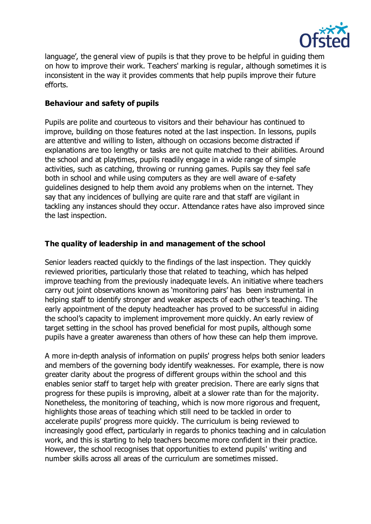

language', the general view of pupils is that they prove to be helpful in guiding them on how to improve their work. Teachers' marking is regular, although sometimes it is inconsistent in the way it provides comments that help pupils improve their future efforts.

#### **Behaviour and safety of pupils**

Pupils are polite and courteous to visitors and their behaviour has continued to improve, building on those features noted at the last inspection. In lessons, pupils are attentive and willing to listen, although on occasions become distracted if explanations are too lengthy or tasks are not quite matched to their abilities. Around the school and at playtimes, pupils readily engage in a wide range of simple activities, such as catching, throwing or running games. Pupils say they feel safe both in school and while using computers as they are well aware of e-safety guidelines designed to help them avoid any problems when on the internet. They say that any incidences of bullying are quite rare and that staff are vigilant in tackling any instances should they occur. Attendance rates have also improved since the last inspection.

# **The quality of leadership in and management of the school**

Senior leaders reacted quickly to the findings of the last inspection. They quickly reviewed priorities, particularly those that related to teaching, which has helped improve teaching from the previously inadequate levels. An initiative where teachers carry out joint observations known as 'monitoring pairs' has been instrumental in helping staff to identify stronger and weaker aspects of each other's teaching. The early appointment of the deputy headteacher has proved to be successful in aiding the school's capacity to implement improvement more quickly. An early review of target setting in the school has proved beneficial for most pupils, although some pupils have a greater awareness than others of how these can help them improve.

A more in-depth analysis of information on pupils' progress helps both senior leaders and members of the governing body identify weaknesses. For example, there is now greater clarity about the progress of different groups within the school and this enables senior staff to target help with greater precision. There are early signs that progress for these pupils is improving, albeit at a slower rate than for the majority. Nonetheless, the monitoring of teaching, which is now more rigorous and frequent, highlights those areas of teaching which still need to be tackled in order to accelerate pupils' progress more quickly. The curriculum is being reviewed to increasingly good effect, particularly in regards to phonics teaching and in calculation work, and this is starting to help teachers become more confident in their practice. However, the school recognises that opportunities to extend pupils' writing and number skills across all areas of the curriculum are sometimes missed.